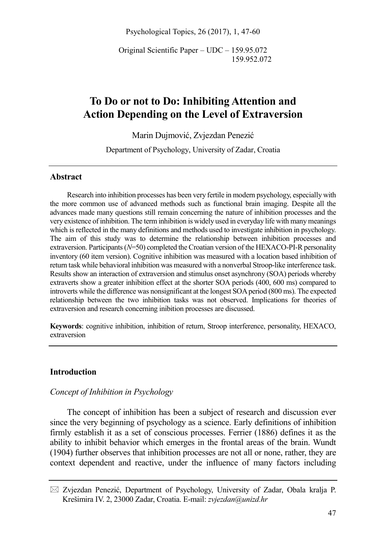Psychological Topics, 26 (2017), 1, 47-60

Original Scientific Paper – UDC – 159.95.072 159.952.072

# **To Do or not to Do: Inhibiting Attention and Action Depending on the Level of Extraversion**

Marin Dujmović, Zvjezdan Penezić

Department of Psychology, University of Zadar, Croatia

# **Abstract**

Research into inhibition processes has been very fertile in modern psychology, especially with the more common use of advanced methods such as functional brain imaging. Despite all the advances made many questions still remain concerning the nature of inhibition processes and the very existence of inhibition. The term inhibition is widely used in everyday life with many meanings which is reflected in the many definitions and methods used to investigate inhibition in psychology. The aim of this study was to determine the relationship between inhibition processes and extraversion. Participants (*N*=50) completed the Croatian version of the HEXACO-PI-R personality inventory (60 item version). Cognitive inhibition was measured with a location based inhibition of return task while behavioral inhibition was measured with a nonverbal Stroop-like interference task. Results show an interaction of extraversion and stimulus onset asynchrony (SOA) periods whereby extraverts show a greater inhibition effect at the shorter SOA periods (400, 600 ms) compared to introverts while the difference was nonsignificant at the longest SOA period (800 ms). The expected relationship between the two inhibition tasks was not observed. Implications for theories of extraversion and research concerning inibition processes are discussed.

**Keywords**: cognitive inhibition, inhibition of return, Stroop interference, personality, HEXACO, extraversion

# **Introduction**

# *Concept of Inhibition in Psychology*

The concept of inhibition has been a subject of research and discussion ever since the very beginning of psychology as a science. Early definitions of inhibition firmly establish it as a set of conscious processes. Ferrier (1886) defines it as the ability to inhibit behavior which emerges in the frontal areas of the brain. Wundt (1904) further observes that inhibition processes are not all or none, rather, they are context dependent and reactive, under the influence of many factors including

 $\boxtimes$  Zvjezdan Penezić, Department of Psychology, University of Zadar, Obala kralja P. Krešimira IV. 2, 23000 Zadar, Croatia. E-mail: *zvjezdan@unizd.hr*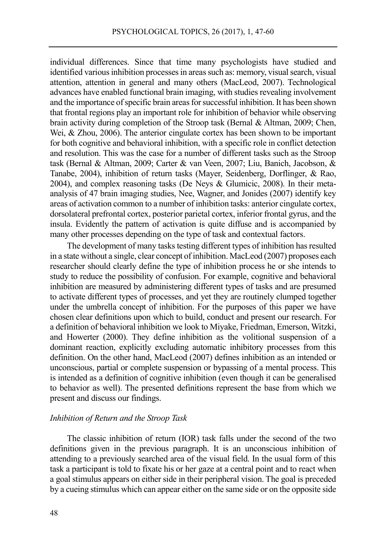individual differences. Since that time many psychologists have studied and identified various inhibition processes in areas such as: memory, visual search, visual attention, attention in general and many others (MacLeod, 2007). Technological advances have enabled functional brain imaging, with studies revealing involvement and the importance of specific brain areas for successful inhibition. It has been shown that frontal regions play an important role for inhibition of behavior while observing brain activity during completion of the Stroop task (Bernal & Altman, 2009; Chen, Wei, & Zhou, 2006). The anterior cingulate cortex has been shown to be important for both cognitive and behavioral inhibition, with a specific role in conflict detection and resolution. This was the case for a number of different tasks such as the Stroop task (Bernal & Altman, 2009; Carter & van Veen, 2007; Liu, Banich, Jacobson, & Tanabe, 2004), inhibition of return tasks (Mayer, Seidenberg, Dorflinger, & Rao, 2004), and complex reasoning tasks (De Neys & Glumicic, 2008). In their metaanalysis of 47 brain imaging studies, Nee, Wagner, and Jonides (2007) identify key areas of activation common to a number of inhibition tasks: anterior cingulate cortex, dorsolateral prefrontal cortex, posterior parietal cortex, inferior frontal gyrus, and the insula. Evidently the pattern of activation is quite diffuse and is accompanied by many other processes depending on the type of task and contextual factors.

The development of many tasks testing different types of inhibition has resulted in a state without a single, clear concept of inhibition. MacLeod (2007) proposes each researcher should clearly define the type of inhibition process he or she intends to study to reduce the possibility of confusion. For example, cognitive and behavioral inhibition are measured by administering different types of tasks and are presumed to activate different types of processes, and yet they are routinely clumped together under the umbrella concept of inhibition. For the purposes of this paper we have chosen clear definitions upon which to build, conduct and present our research. For a definition of behavioral inhibition we look to Miyake, Friedman, Emerson, Witzki, and Howerter (2000). They define inhibition as the volitional suspension of a dominant reaction, explicitly excluding automatic inhibitory processes from this definition. On the other hand, MacLeod (2007) defines inhibition as an intended or unconscious, partial or complete suspension or bypassing of a mental process. This is intended as a definition of cognitive inhibition (even though it can be generalised to behavior as well). The presented definitions represent the base from which we present and discuss our findings.

# *Inhibition of Return and the Stroop Task*

The classic inhibition of return (IOR) task falls under the second of the two definitions given in the previous paragraph. It is an unconscious inhibition of attending to a previously searched area of the visual field. In the usual form of this task a participant is told to fixate his or her gaze at a central point and to react when a goal stimulus appears on either side in their peripheral vision. The goal is preceded by a cueing stimulus which can appear either on the same side or on the opposite side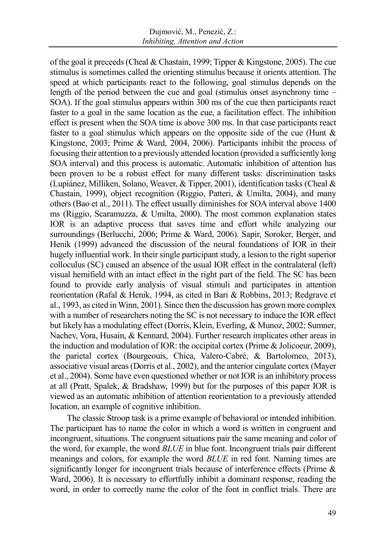of the goal it preceeds(Cheal & Chastain, 1999; Tipper & Kingstone, 2005). The cue stimulus is sometimes called the orienting stimulus because it orients attention. The speed at which participants react to the following, goal stimulus depends on the length of the period between the cue and goal (stimulus onset asynchrony time – SOA). If the goal stimulus appears within 300 ms of the cue then participants react faster to a goal in the same location as the cue, a facilitation effect. The inhibition effect is present when the SOA time is above 300 ms. In that case participants react faster to a goal stimulus which appears on the opposite side of the cue (Hunt  $\&$ Kingstone, 2003; Prime & Ward, 2004, 2006). Participants inhibit the process of focusing their attention to a previously attended location (provided a sufficiently long SOA interval) and this process is automatic. Automatic inhibition of attention has been proven to be a robust effect for many different tasks: discrimination tasks (Lupiánez, Milliken, Solano, Weaver, & Tipper, 2001), identification tasks (Cheal & Chastain, 1999), object recognition (Riggio, Patteri, & Umilta, 2004), and many others (Bao et al., 2011). The effect usually diminishes for SOA interval above 1400 ms (Riggio, Scaramuzza, & Umilta, 2000). The most common explanation states IOR is an adaptive process that saves time and effort while analyzing our surroundings (Berlucchi, 2006; Prime & Ward, 2006). Sapir, Soroker, Berger, and Henik (1999) advanced the discussion of the neural foundations of IOR in their hugely influential work. In their single participant study, a lesion to the right superior colloculus (SC) caused an absence of the usual IOR effect in the contralateral (left) visual hemifield with an intact effect in the right part of the field. The SC has been found to provide early analysis of visual stimuli and participates in attention reorientation (Rafal & Henik, 1994, as cited in Bari & Robbins, 2013; Redgrave et al., 1993, as cited in Winn, 2001). Since then the discussion has grown more complex with a number of researchers noting the SC is not necessary to induce the IOR effect but likely has a modulating effect (Dorris, Klein, Everling, & Munoz, 2002; Sumner, Nachev, Vora, Husain, & Kennard, 2004). Further research implicates other areas in the induction and modulation of IOR: the occipital cortex (Prime & Jolicoeur, 2009), the parietal cortex (Bourgeouis, Chica, Valero-Cabré, & Bartolomeo, 2013), associative visual areas (Dorris et al., 2002), and the anterior cingulate cortex (Mayer et al., 2004). Some have even questioned whether or not IOR is an inhibitory process at all (Pratt, Spalek, & Bradshaw, 1999) but for the purposes of this paper IOR is viewed as an automatic inhibition of attention reorientation to a previously attended location, an example of cognitive inhibition.

The classic Stroop task is a prime example of behavioral or intended inhibition. The participant has to name the color in which a word is written in congruent and incongruent, situations. The congruent situations pair the same meaning and color of the word, for example, the word *BLUE* in blue font. Incongruent trials pair different meanings and colors, for example the word *BLUE* in red font. Naming times are significantly longer for incongruent trials because of interference effects (Prime & Ward, 2006). It is necessary to effortfully inhibit a dominant response, reading the word, in order to correctly name the color of the font in conflict trials. There are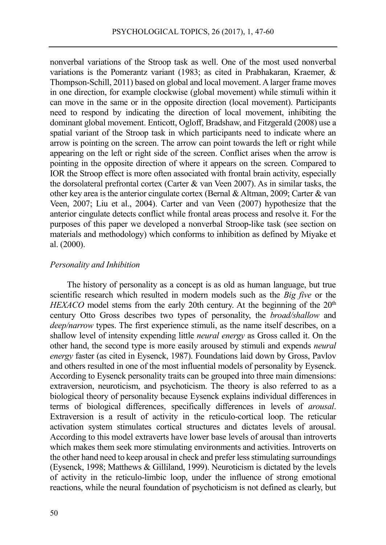nonverbal variations of the Stroop task as well. One of the most used nonverbal variations is the Pomerantz variant (1983; as cited in Prabhakaran, Kraemer, & Thompson-Schill, 2011) based on global and local movement. A larger frame moves in one direction, for example clockwise (global movement) while stimuli within it can move in the same or in the opposite direction (local movement). Participants need to respond by indicating the direction of local movement, inhibiting the dominant global movement. Enticott, Ogloff, Bradshaw, and Fitzgerald (2008) use a spatial variant of the Stroop task in which participants need to indicate where an arrow is pointing on the screen. The arrow can point towards the left or right while appearing on the left or right side of the screen. Conflict arises when the arrow is pointing in the opposite direction of where it appears on the screen. Compared to IOR the Stroop effect is more often associated with frontal brain activity, especially the dorsolateral prefrontal cortex (Carter & van Veen 2007). As in similar tasks, the other key area is the anterior cingulate cortex (Bernal &Altman, 2009; Carter & van Veen, 2007; Liu et al., 2004). Carter and van Veen (2007) hypothesize that the anterior cingulate detects conflict while frontal areas process and resolve it. For the purposes of this paper we developed a nonverbal Stroop-like task (see section on materials and methodology) which conforms to inhibition as defined by Miyake et al. (2000).

# *Personality and Inhibition*

The history of personality as a concept is as old as human language, but true scientific research which resulted in modern models such as the *Big five* or the *HEXACO* model stems from the early 20th century. At the beginning of the  $20<sup>th</sup>$ century Otto Gross describes two types of personality, the *broad/shallow* and *deep/narrow* types. The first experience stimuli, as the name itself describes, on a shallow level of intensity expending little *neural energy* as Gross called it. On the other hand, the second type is more easily aroused by stimuli and expends *neural energy* faster (as cited in Eysenck, 1987). Foundations laid down by Gross, Pavlov and others resulted in one of the most influential models of personality by Eysenck. According to Eysenck personality traits can be grouped into three main dimensions: extraversion, neuroticism, and psychoticism. The theory is also referred to as a biological theory of personality because Eysenck explains individual differences in terms of biological differences, specifically differences in levels of *arousal*. Extraversion is a result of activity in the reticulo-cortical loop. The reticular activation system stimulates cortical structures and dictates levels of arousal. According to this model extraverts have lower base levels of arousal than introverts which makes them seek more stimulating environments and activities. Introverts on the other hand need to keep arousal in check and prefer less stimulating surroundings (Eysenck, 1998; Matthews & Gilliland, 1999). Neuroticism is dictated by the levels of activity in the reticulo-limbic loop, under the influence of strong emotional reactions, while the neural foundation of psychoticism is not defined as clearly, but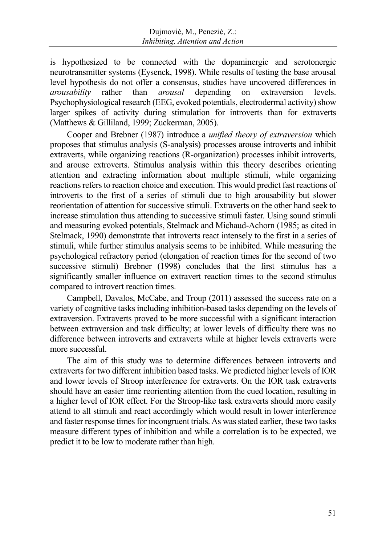is hypothesized to be connected with the dopaminergic and serotonergic neurotransmitter systems (Eysenck, 1998). While results of testing the base arousal level hypothesis do not offer a consensus, studies have uncovered differences in *arousability* rather than *arousal* depending on extraversion levels. Psychophysiological research (EEG, evoked potentials, electrodermal activity) show larger spikes of activity during stimulation for introverts than for extraverts (Matthews & Gilliland, 1999; Zuckerman, 2005).

Cooper and Brebner (1987) introduce a *unified theory of extraversion* which proposes that stimulus analysis (S-analysis) processes arouse introverts and inhibit extraverts, while organizing reactions (R-organization) processes inhibit introverts, and arouse extroverts. Stimulus analysis within this theory describes orienting attention and extracting information about multiple stimuli, while organizing reactions refers to reaction choice and execution. This would predict fast reactions of introverts to the first of a series of stimuli due to high arousability but slower reorientation of attention for successive stimuli. Extraverts on the other hand seek to increase stimulation thus attending to successive stimuli faster. Using sound stimuli and measuring evoked potentials, Stelmack and Michaud-Achorn (1985; as cited in Stelmack, 1990) demonstrate that introverts react intensely to the first in a series of stimuli, while further stimulus analysis seems to be inhibited. While measuring the psychological refractory period (elongation of reaction times for the second of two successive stimuli) Brebner (1998) concludes that the first stimulus has a significantly smaller influence on extravert reaction times to the second stimulus compared to introvert reaction times.

Campbell, Davalos, McCabe, and Troup (2011) assessed the success rate on a variety of cognitive tasks including inhibition-based tasks depending on the levels of extraversion. Extraverts proved to be more successful with a significant interaction between extraversion and task difficulty; at lower levels of difficulty there was no difference between introverts and extraverts while at higher levels extraverts were more successful.

The aim of this study was to determine differences between introverts and extraverts for two different inhibition based tasks. We predicted higher levels of IOR and lower levels of Stroop interference for extraverts. On the IOR task extraverts should have an easier time reorienting attention from the cued location, resulting in a higher level of IOR effect. For the Stroop-like task extraverts should more easily attend to all stimuli and react accordingly which would result in lower interference and faster response times for incongruent trials. As was stated earlier, these two tasks measure different types of inhibition and while a correlation is to be expected, we predict it to be low to moderate rather than high.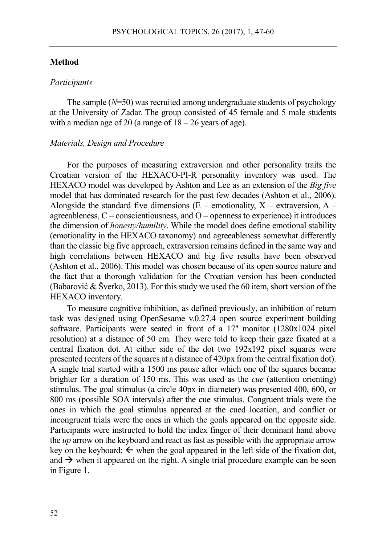### **Method**

#### *Participants*

The sample (*N*=50) was recruited among undergraduate students of psychology at the University of Zadar. The group consisted of 45 female and 5 male students with a median age of 20 (a range of  $18 - 26$  years of age).

#### *Materials, Design and Procedure*

For the purposes of measuring extraversion and other personality traits the Croatian version of the HEXACO-PI-R personality inventory was used. The HEXACO model was developed by Ashton and Lee as an extension of the *Big five* model that has dominated research for the past few decades (Ashton et al., 2006). Alongside the standard five dimensions ( $\overline{E}$  – emotionality, X – extraversion, A – agreeableness,  $C$  – conscientiousness, and  $O$  – openness to experience) it introduces the dimension of *honesty/humility*. While the model does define emotional stability (emotionality in the HEXACO taxonomy) and agreeableness somewhat differently than the classic big five approach, extraversion remains defined in the same way and high correlations between HEXACO and big five results have been observed (Ashton et al., 2006). This model was chosen because of its open source nature and the fact that a thorough validation for the Croatian version has been conducted (Babarović & Šverko, 2013). For this study we used the 60 item, short version of the HEXACO inventory.

To measure cognitive inhibition, as defined previously, an inhibition of return task was designed using OpenSesame v.0.27.4 open source experiment building software. Participants were seated in front of a 17" monitor (1280x1024 pixel resolution) at a distance of 50 cm. They were told to keep their gaze fixated at a central fixation dot. At either side of the dot two  $192x192$  pixel squares were presented (centers of the squares at a distance of 420px from the central fixation dot). A single trial started with a 1500 ms pause after which one of the squares became brighter for a duration of 150 ms. This was used as the *cue* (attention orienting) stimulus. The goal stimulus (a circle 40px in diameter) was presented 400, 600, or 800 ms (possible SOA intervals) after the cue stimulus. Congruent trials were the ones in which the goal stimulus appeared at the cued location, and conflict or incongruent trials were the ones in which the goals appeared on the opposite side. Participants were instructed to hold the index finger of their dominant hand above the *up* arrow on the keyboard and react as fast as possible with the appropriate arrow key on the keyboard:  $\leftarrow$  when the goal appeared in the left side of the fixation dot, and  $\rightarrow$  when it appeared on the right. A single trial procedure example can be seen in Figure 1.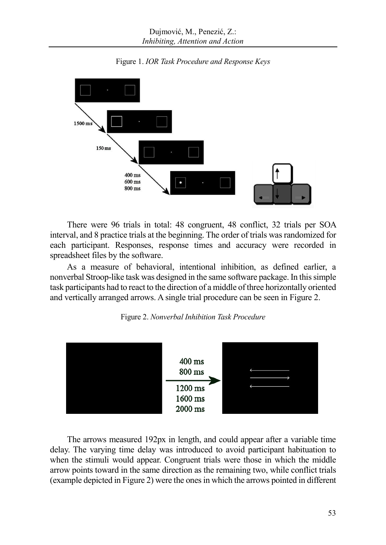

Figure 1. *IOR Task Procedure and Response Keys*

There were 96 trials in total: 48 congruent, 48 conflict, 32 trials per SOA interval, and 8 practice trials at the beginning. The order of trials was randomized for each participant. Responses, response times and accuracy were recorded in spreadsheet files by the software.

As a measure of behavioral, intentional inhibition, as defined earlier, a nonverbal Stroop-like task was designed in the same software package. In this simple task participants had to react to the direction of a middle of three horizontally oriented and vertically arranged arrows. A single trial procedure can be seen in Figure 2.





The arrows measured 192px in length, and could appear after a variable time delay. The varying time delay was introduced to avoid participant habituation to when the stimuli would appear. Congruent trials were those in which the middle arrow points toward in the same direction as the remaining two, while conflict trials (example depicted in Figure 2) were the ones in which the arrows pointed in different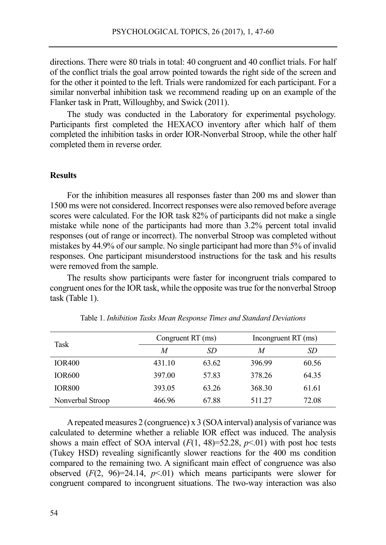directions. There were 80 trials in total: 40 congruent and 40 conflict trials. For half of the conflict trials the goal arrow pointed towards the right side of the screen and for the other it pointed to the left. Trials were randomized for each participant. For a similar nonverbal inhibition task we recommend reading up on an example of the Flanker task in Pratt, Willoughby, and Swick (2011).

The study was conducted in the Laboratory for experimental psychology. Participants first completed the HEXACO inventory after which half of them completed the inhibition tasks in order IOR-Nonverbal Stroop, while the other half completed them in reverse order.

# **Results**

For the inhibition measures all responses faster than 200 ms and slower than 1500 ms were not considered. Incorrect responses were also removed before average scores were calculated. For the IOR task 82% of participants did not make a single mistake while none of the participants had more than 3.2% percent total invalid responses (out of range or incorrect). The nonverbal Stroop was completed without mistakes by 44.9% of our sample. No single participant had more than 5% of invalid responses. One participant misunderstood instructions for the task and his results were removed from the sample.

The results show participants were faster for incongruent trials compared to congruent ones for the IOR task, while the opposite was true for the nonverbal Stroop task (Table 1).

| Task             | Congruent RT (ms) |       | Incongruent RT (ms) |       |
|------------------|-------------------|-------|---------------------|-------|
|                  | M                 | SD    | M                   | SD    |
| <b>IOR400</b>    | 431.10            | 63.62 | 396.99              | 60.56 |
| <b>IOR600</b>    | 397.00            | 57.83 | 378.26              | 64.35 |
| <b>IOR800</b>    | 393.05            | 63.26 | 368.30              | 61.61 |
| Nonverbal Stroop | 466.96            | 67.88 | 511.27              | 72.08 |

Table 1. *Inhibition Tasks Mean Response Times and Standard Deviations*

A repeated measures 2 (congruence) x 3 (SOA interval) analysis of variance was calculated to determine whether a reliable IOR effect was induced. The analysis shows a main effect of SOA interval  $(F(1, 48)=52.28, p<0.1)$  with post hoc tests (Tukey HSD) revealing significantly slower reactions for the 400 ms condition compared to the remaining two. A significant main effect of congruence was also observed  $(F(2, 96)=24.14, p<0.01)$  which means participants were slower for congruent compared to incongruent situations. The two-way interaction was also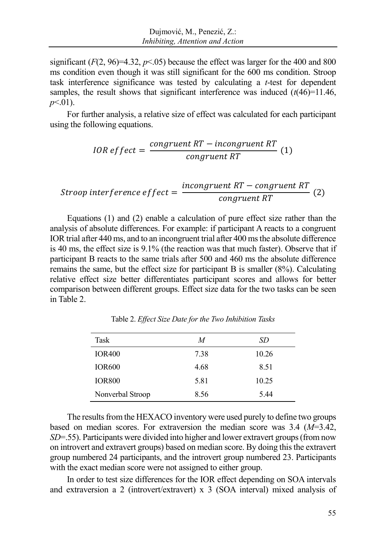significant  $(F(2, 96)=4.32, p<0.05)$  because the effect was larger for the 400 and 800 ms condition even though it was still significant for the 600 ms condition. Stroop task interference significance was tested by calculating a *t*-test for dependent samples, the result shows that significant interference was induced  $(t(46)=11.46$ , *p*<.01).

For further analysis, a relative size of effect was calculated for each participant using the following equations.

*IOR effect* = 
$$
\frac{congruent RT - incongruent RT}{congruent RT}
$$
 (1)

$$
Strong\, interference\,effect=\frac{incongruent\,RT-congruent\,RT}{congruent\,RT}\,\,(2)
$$

Equations (1) and (2) enable a calculation of pure effect size rather than the analysis of absolute differences. For example: if participant A reacts to a congruent IOR trial after 440 ms, and to an incongruent trial after 400 ms the absolute difference is 40 ms, the effect size is 9.1% (the reaction was that much faster). Observe that if participant B reacts to the same trials after 500 and 460 ms the absolute difference remains the same, but the effect size for participant B is smaller (8%). Calculating relative effect size better differentiates participant scores and allows for better comparison between different groups. Effect size data for the two tasks can be seen in Table 2.

| Task             | M    | SD    |
|------------------|------|-------|
| <b>IOR400</b>    | 7.38 | 10.26 |
| <b>IOR600</b>    | 4.68 | 8.51  |
| <b>IOR800</b>    | 5.81 | 10.25 |
| Nonverbal Stroop | 8.56 | 5.44  |

Table 2. *Effect Size Date for the Two Inhibition Tasks*

The results from the HEXACO inventory were used purely to define two groups based on median scores. For extraversion the median score was 3.4 (*M*=3.42, *SD*=.55). Participants were divided into higher and lower extravert groups (from now on introvert and extravert groups) based on median score. By doing this the extravert group numbered 24 participants, and the introvert group numbered 23. Participants with the exact median score were not assigned to either group.

In order to test size differences for the IOR effect depending on SOA intervals and extraversion a 2 (introvert/extravert) x 3 (SOA interval) mixed analysis of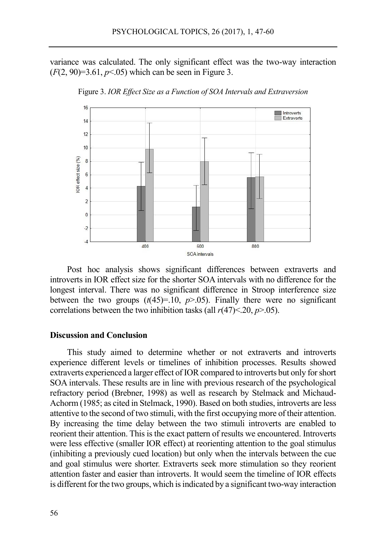variance was calculated. The only significant effect was the two-way interaction  $(F(2, 90)=3.61, p<0.05)$  which can be seen in Figure 3.



Figure 3. *IOR Effect Size as a Function of SOA Intervals and Extraversion*

Post hoc analysis shows significant differences between extraverts and introverts in IOR effect size for the shorter SOA intervals with no difference for the longest interval. There was no significant difference in Stroop interference size between the two groups  $(t(45)=10, p>0.05)$ . Finally there were no significant correlations between the two inhibition tasks (all  $r(47)$  < 20,  $p$  > 05).

# **Discussion and Conclusion**

This study aimed to determine whether or not extraverts and introverts experience different levels or timelines of inhibition processes. Results showed extraverts experienced a larger effect of IOR compared to introverts but only for short SOA intervals. These results are in line with previous research of the psychological refractory period (Brebner, 1998) as well as research by Stelmack and Michaud-Achorm (1985; as cited in Stelmack, 1990). Based on both studies, introverts are less attentive to the second of two stimuli, with the first occupying more of their attention. By increasing the time delay between the two stimuli introverts are enabled to reorient their attention. This is the exact pattern of results we encountered. Introverts were less effective (smaller IOR effect) at reorienting attention to the goal stimulus (inhibiting a previously cued location) but only when the intervals between the cue and goal stimulus were shorter. Extraverts seek more stimulation so they reorient attention faster and easier than introverts. It would seem the timeline of IOR effects is different for the two groups, which is indicated by a significant two-way interaction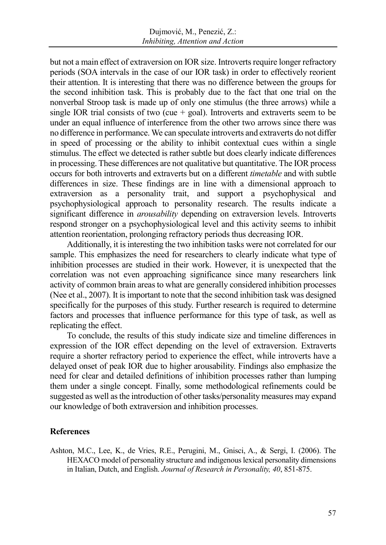but not a main effect of extraversion on IOR size. Introverts require longer refractory periods (SOA intervals in the case of our IOR task) in order to effectively reorient their attention. It is interesting that there was no difference between the groups for the second inhibition task. This is probably due to the fact that one trial on the nonverbal Stroop task is made up of only one stimulus (the three arrows) while a single IOR trial consists of two (cue  $+$  goal). Introverts and extraverts seem to be under an equal influence of interference from the other two arrows since there was no difference in performance. We can speculate introverts and extraverts do not differ in speed of processing or the ability to inhibit contextual cues within a single stimulus. The effect we detected is rather subtle but does clearly indicate differences in processing. These differences are not qualitative but quantitative. The IOR process occurs for both introverts and extraverts but on a different *timetable* and with subtle differences in size. These findings are in line with a dimensional approach to extraversion as a personality trait, and support a psychophysical and psychophysiological approach to personality research. The results indicate a significant difference in *arousability* depending on extraversion levels. Introverts respond stronger on a psychophysiological level and this activity seems to inhibit attention reorientation, prolonging refractory periods thus decreasing IOR.

Additionally, it is interesting the two inhibition tasks were not correlated for our sample. This emphasizes the need for researchers to clearly indicate what type of inhibition processes are studied in their work. However, it is unexpected that the correlation was not even approaching significance since many researchers link activity of common brain areas to what are generally considered inhibition processes (Nee et al., 2007). It is important to note that the second inhibition task was designed specifically for the purposes of this study. Further research is required to determine factors and processes that influence performance for this type of task, as well as replicating the effect.

To conclude, the results of this study indicate size and timeline differences in expression of the IOR effect depending on the level of extraversion. Extraverts require a shorter refractory period to experience the effect, while introverts have a delayed onset of peak IOR due to higher arousability. Findings also emphasize the need for clear and detailed definitions of inhibition processes rather than lumping them under a single concept. Finally, some methodological refinements could be suggested as well as the introduction of other tasks/personality measures may expand our knowledge of both extraversion and inhibition processes.

# **References**

Ashton, M.C., Lee, K., de Vries, R.E., Perugini, M., Gnisci, A., & Sergi, I. (2006). The HEXACO model of personality structure and indigenous lexical personality dimensions in Italian, Dutch, and English. *Journal of Research in Personality, 40*, 851-875.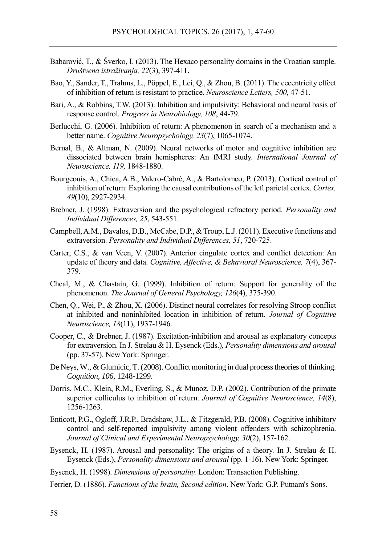- Babarović, T., & Šverko, I. (2013). The Hexaco personality domains in the Croatian sample. *Društvena istraživanja, 22*(3), 397-411.
- Bao, Y., Sander, T., Trahms, L., Pöppel, E., Lei, Q., & Zhou, B. (2011). The eccentricity effect of inhibition of return is resistant to practice. *Neuroscience Letters, 500,* 47-51.
- Bari, A., & Robbins, T.W. (2013). Inhibition and impulsivity: Behavioral and neural basis of response control. *Progress in Neurobiology, 108*, 44-79.
- Berlucchi, G. (2006). Inhibition of return: A phenomenon in search of a mechanism and a better name. *Cognitive Neuropsychology, 23*(7), 1065-1074.
- Bernal, B., & Altman, N. (2009). Neural networks of motor and cognitive inhibition are dissociated between brain hemispheres: An fMRI study. *International Journal of Neuroscience, 119,* 1848-1880.
- Bourgeouis, A., Chica, A.B., Valero-Cabré, A., & Bartolomeo, P. (2013). Cortical control of inhibition of return: Exploring the causal contributions of the left parietal cortex. *Cortex, 49*(10), 2927-2934.
- Brebner, J. (1998). Extraversion and the psychological refractory period. *Personality and Individual Differences, 25*, 543-551.
- Campbell, A.M., Davalos, D.B., McCabe, D.P., & Troup, L.J. (2011). Executive functions and extraversion. *Personality and Individual Differences, 51*, 720-725.
- Carter, C.S., & van Veen, V. (2007). Anterior cingulate cortex and conflict detection: An update of theory and data. *Cognitive, Affective, & Behavioral Neuroscience, 7*(4), 367- 379.
- Cheal, M., & Chastain, G. (1999). Inhibition of return: Support for generality of the phenomenon. *The Journal of General Psychology, 126*(4), 375-390.
- Chen, Q., Wei, P., & Zhou, X. (2006). Distinct neural correlates for resolving Stroop conflict at inhibited and noninhibited location in inhibition of return. *Journal of Cognitive Neuroscience, 18*(11), 1937-1946.
- Cooper, C., & Brebner, J. (1987). Excitation-inhibition and arousal as explanatory concepts for extraversion. In J. Strelau & H. Eysenck (Eds.), *Personality dimensions and arousal*  (pp. 37-57). New York: Springer.
- De Neys, W., & Glumicic, T. (2008). Conflict monitoring in dual process theories of thinking. *Cognition, 106,* 1248-1299.
- Dorris, M.C., Klein, R.M., Everling, S., & Munoz, D.P. (2002). Contribution of the primate superior colliculus to inhibition of return. *Journal of Cognitive Neuroscience, 14*(8), 1256-1263.
- Enticott, P.G., Ogloff, J.R.P., Bradshaw, J.L., & Fitzgerald, P.B. (2008). Cognitive inhibitory control and self-reported impulsivity among violent offenders with schizophrenia. *Journal of Clinical and Experimental Neuropsychology, 30*(2), 157-162.
- Eysenck, H. (1987). Arousal and personality: The origins of a theory. In J. Strelau & H. Eysenck (Eds.), *Personality dimensions and arousal* (pp. 1-16). New York: Springer.
- Eysenck, H. (1998). *Dimensions of personality.* London: Transaction Publishing.
- Ferrier, D. (1886). *Functions of the brain, Second edition*. New York: G.P. Putnam's Sons.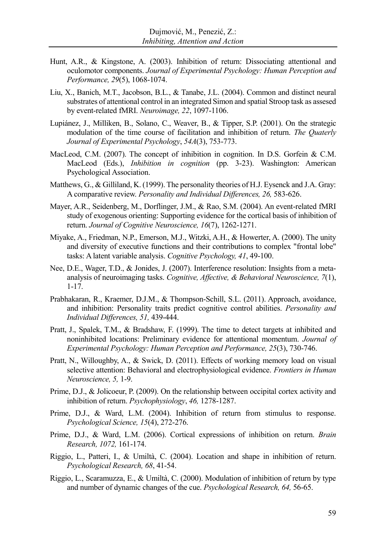- Hunt, A.R., & Kingstone, A. (2003). Inhibition of return: Dissociating attentional and oculomotor components. *Journal of Experimental Psychology: Human Perception and Performance, 29*(5), 1068-1074.
- Liu, X., Banich, M.T., Jacobson, B.L., & Tanabe, J.L. (2004). Common and distinct neural substrates of attentional control in an integrated Simon and spatial Stroop task as assesed by event-related fMRI. *Neuroimage, 22*, 1097-1106.
- Lupiánez, J., Milliken, B., Solano, C., Weaver, B., & Tipper, S.P. (2001). On the strategic modulation of the time course of facilitation and inhibition of return. *The Quaterly Journal of Experimental Psychology*, *54A*(3), 753-773.
- MacLeod, C.M. (2007). The concept of inhibition in cognition. In D.S. Gorfein  $\&$  C.M. MacLeod (Eds.), *Inhibition in cognition* (pp. 3-23). Washington: American Psychological Association.
- Matthews, G., & Gilliland, K. (1999). The personality theories of H.J. Eysenck and J.A. Gray: A comparative review. *Personality and Individual Differences, 26,* 583-626.
- Mayer, A.R., Seidenberg, M., Dorflinger, J.M., & Rao, S.M. (2004). An event-related fMRI study of exogenous orienting: Supporting evidence for the cortical basis of inhibition of return. *Journal of Cognitive Neuroscience, 16*(7), 1262-1271.
- Miyake, A., Friedman, N.P., Emerson, M.J., Witzki, A.H., & Howerter, A. (2000). The unity and diversity of executive functions and their contributions to complex "frontal lobe" tasks: A latent variable analysis. *Cognitive Psychology, 41*, 49-100.
- Nee, D.E., Wager, T.D., & Jonides, J. (2007). Interference resolution: Insights from a metaanalysis of neuroimaging tasks. *Cognitive, Affective, & Behavioral Neuroscience, 7*(1), 1-17.
- Prabhakaran, R., Kraemer, D.J.M., & Thompson-Schill, S.L. (2011). Approach, avoidance, and inhibition: Personality traits predict cognitive control abilities. *Personality and Individual Differences, 51,* 439-444.
- Pratt, J., Spalek, T.M., & Bradshaw, F. (1999). The time to detect targets at inhibited and noninhibited locations: Preliminary evidence for attentional momentum. *Journal of Experimental Psychology: Human Perception and Performance, 25*(3), 730-746.
- Pratt, N., Willoughby, A., & Swick, D. (2011). Effects of working memory load on visual selective attention: Behavioral and electrophysiological evidence. *Frontiers in Human Neuroscience, 5,* 1-9.
- Prime, D.J., & Jolicoeur, P. (2009). On the relationship between occipital cortex activity and inhibition of return. *Psychophysiology*, *46,* 1278-1287.
- Prime, D.J., & Ward, L.M. (2004). Inhibition of return from stimulus to response. *Psychological Science, 15*(4), 272-276.
- Prime, D.J., & Ward, L.M. (2006). Cortical expressions of inhibition on return. *Brain Research, 1072,* 161-174.
- Riggio, L., Patteri, I., & Umiltà, C. (2004). Location and shape in inhibition of return. *Psychological Research, 68*, 41-54.
- Riggio, L., Scaramuzza, E., & Umiltà, C. (2000). Modulation of inhibition of return by type and number of dynamic changes of the cue. *Psychological Research, 64,* 56-65.